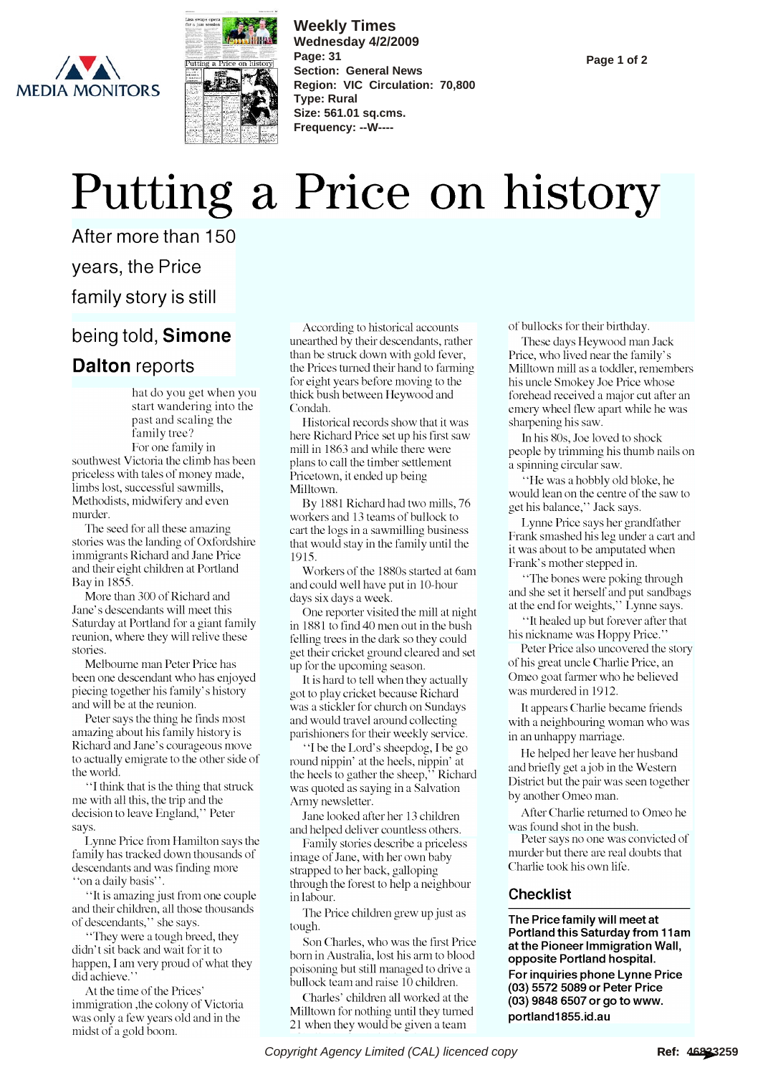



**Weekly Times Wednesday 4/2/2009 Page: 31 Section: General News Region: VIC Circulation: 70,800 Type: Rural Size: 561.01 sq.cms. Frequency: --W----**

**Page 1 of 2**

## Putting a Price on history

After more than 150

years, the Price

family story is still

## being told, Simone Dalton reports

hat do you get when you start wandering into the past and scaling the family tree?

For one family in southwest Victoria the climb has been priceless with tales of money made, limbs lost, successful sawmills, Methodists, midwifery and even murder.

The seed for all these amazing stories was the landing of Oxfordshire immigrants Richard and Jane Price and their eight children at Portland Bay in 1855.

More than 300 of Richard and Jane's descendants will meet this Saturday at Portland for a giant family reunion, where they will relive these stories.

Melbourne man Peter Price has been one descendant who has enjoyed piecing together his family's history and will be at the reunion.

Peter says the thing he finds most amazing about his family history is Richard and Jane's courageous move to actually emigrate to the other side of the world.

"I think that is the thing that struck me with all this, the trip and the decision to leave England," Peter says.

Lynne Price from Hamilton says the family has tracked down thousands of descendants and was finding more "on a daily basis"

"It is amazing just from one couple and their children, all those thousands of descendants," she says.

`:They were a tough breed, they didn't sit back and wait for it to happen, I am very proud of what they did achieve.'

At the time of the Prices' immigration , the colony of Victoria was only a few years old and in the midst of a gold boom.

According to historical accounts unearthed by their descendants, rather than be struck down with gold fever, the Prices turned their hand to farming for eight years before moving to the thick bush between Heywood and Condah.

Historical records show that it was here Richard Price set up his first saw mill in 1863 and while there were plans to call the timber settlement Pricetown, it ended up being Milltown.

By 1881 Richard had two mills, 76 workers and 13 teams of bullock to cart the logs in a sawmilling business that would stay in the family until the 1915.

Workers of the 1880s started at 6am and could well have put in 10-hour days six days a week.

One reporter visited the mill at night in 1881 to find 40 men out in the bush felling trees in the dark so they could get their cricket ground cleared and set up for the upcoming season.

It is hard to tell when they actually got to play cricket because Richard was a stickler for church on Sundays and would travel around collecting parishioners for their weekly service.

"I be the Lord's sheepdog, I be go round nippin' at the heels, nippin' at the heels to gather the sheep," Richard was quoted as saying in a Salvation Army newsletter.

Jane looked after her 13 children and helped deliver countless others.

Family stories describe a priceless image of Jane, with her own baby strapped to her back, galloping through the forest to help a neighbour in labour.

The Price children grew up just as tough.

Son Charles, who was the first Price born in Australia, lost his arni to blood poisoning but still managed to drive a bullock team and raise 10 children.

Charles' children all worked at the Milltown for nothing until they turned 21 when they would be given a team

of bullocks for their birthday.

These days Heywood man Jack Price, who lived near the family' s Milltown mill as a toddler, remembers his uncle Smokey Joe Price whose forehead received a major cut after an emery wheel flew apart while he was sharpening his saw.

In his 80s, Joe loved to shock people by trinuning his thumb nails on a spinning circular saw.

"He was a hobbly old bloke, he would lean on the centre of the saw to get his balance," Jack says.

Lynne Price says her grandfather Frank smashed his leg under a cart and it was about to be amputated when Frank's mother stepped in.

"The bones were poking through and she set it herself and put sandbags at the end for weights," Lynne says.

"It healed up but forever after that his nickname was Hoppy Price.'

Peter Price also uncovered the story of his great uncle Charlie Price, an Omeo goat farmer who he believed was murdered in 1912.

It appears Charlie became fiiends with a neighbouring woman who was in an unhappy marriage.

He helped her leave her husband and briefly get a job in the Western District but the pair was seen together by another Omeo man.

After Charlie returned to Omeo he was found shot in the bush.

Peter says no one was convicted of murder but there are real doubts that Charlie took his own life.

## **Checklist**

The Price family will meet at Portland this Saturday from 11am at the Pioneer Immigration Wall, opposite Portland hospital.

For inquiries phone Lynne Price (03) 5572 5089 or Peter Price (03) 9848 6507 or go to www. portland1855.id.au